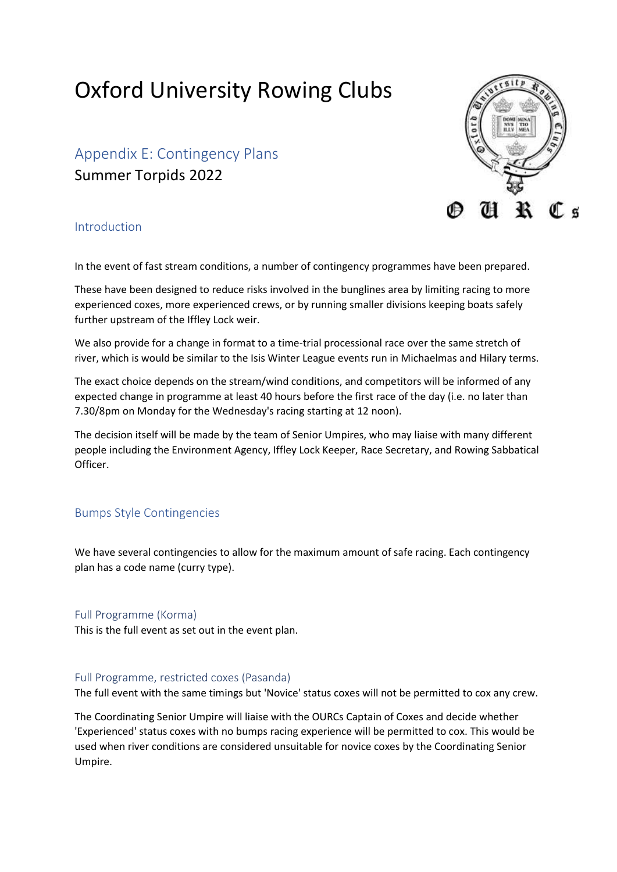# Oxford University Rowing Clubs

Appendix E: Contingency Plans Summer Torpids 2022



## Introduction

In the event of fast stream conditions, a number of contingency programmes have been prepared.

These have been designed to reduce risks involved in the bunglines area by limiting racing to more experienced coxes, more experienced crews, or by running smaller divisions keeping boats safely further upstream of the Iffley Lock weir.

We also provide for a change in format to a time-trial processional race over the same stretch of river, which is would be similar to the Isis Winter League events run in Michaelmas and Hilary terms.

The exact choice depends on the stream/wind conditions, and competitors will be informed of any expected change in programme at least 40 hours before the first race of the day (i.e. no later than 7.30/8pm on Monday for the Wednesday's racing starting at 12 noon).

The decision itself will be made by the team of Senior Umpires, who may liaise with many different people including the Environment Agency, Iffley Lock Keeper, Race Secretary, and Rowing Sabbatical Officer.

## Bumps Style Contingencies

We have several contingencies to allow for the maximum amount of safe racing. Each contingency plan has a code name (curry type).

## Full Programme (Korma)

This is the full event as set out in the event plan.

## Full Programme, restricted coxes (Pasanda)

The full event with the same timings but 'Novice' status coxes will not be permitted to cox any crew.

The Coordinating Senior Umpire will liaise with the OURCs Captain of Coxes and decide whether 'Experienced' status coxes with no bumps racing experience will be permitted to cox. This would be used when river conditions are considered unsuitable for novice coxes by the Coordinating Senior Umpire.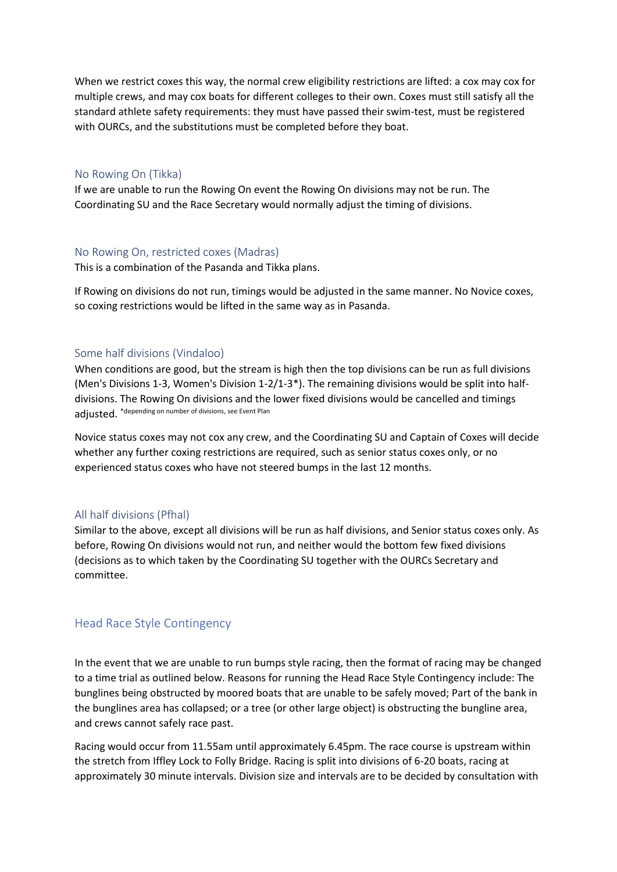When we restrict coxes this way, the normal crew eligibility restrictions are lifted: a cox may cox for multiple crews, and may cox boats for different colleges to their own. Coxes must still satisfy all the standard athlete safety requirements: they must have passed their swim-test, must be registered with OURCs, and the substitutions must be completed before they boat.

## No Rowing On (Tikka)

If we are unable to run the Rowing On event the Rowing On divisions may not be run. The Coordinating SU and the Race Secretary would normally adjust the timing of divisions.

#### No Rowing On, restricted coxes (Madras)

This is a combination of the Pasanda and Tikka plans.

If Rowing on divisions do not run, timings would be adjusted in the same manner. No Novice coxes, so coxing restrictions would be lifted in the same way as in Pasanda.

#### Some half divisions (Vindaloo)

When conditions are good, but the stream is high then the top divisions can be run as full divisions (Men's Divisions 1-3, Women's Division 1-2/1-3\*). The remaining divisions would be split into halfdivisions. The Rowing On divisions and the lower fixed divisions would be cancelled and timings adjusted. \*depending on number of divisions, see Event Plan

Novice status coxes may not cox any crew, and the Coordinating SU and Captain of Coxes will decide whether any further coxing restrictions are required, such as senior status coxes only, or no experienced status coxes who have not steered bumps in the last 12 months.

### All half divisions (Pfhal)

Similar to the above, except all divisions will be run as half divisions, and Senior status coxes only. As before, Rowing On divisions would not run, and neither would the bottom few fixed divisions (decisions as to which taken by the Coordinating SU together with the OURCs Secretary and committee.

## Head Race Style Contingency

In the event that we are unable to run bumps style racing, then the format of racing may be changed to a time trial as outlined below. Reasons for running the Head Race Style Contingency include: The bunglines being obstructed by moored boats that are unable to be safely moved; Part of the bank in the bunglines area has collapsed; or a tree (or other large object) is obstructing the bungline area, and crews cannot safely race past.

Racing would occur from 11.55am until approximately 6.45pm. The race course is upstream within the stretch from Iffley Lock to Folly Bridge. Racing is split into divisions of 6-20 boats, racing at approximately 30 minute intervals. Division size and intervals are to be decided by consultation with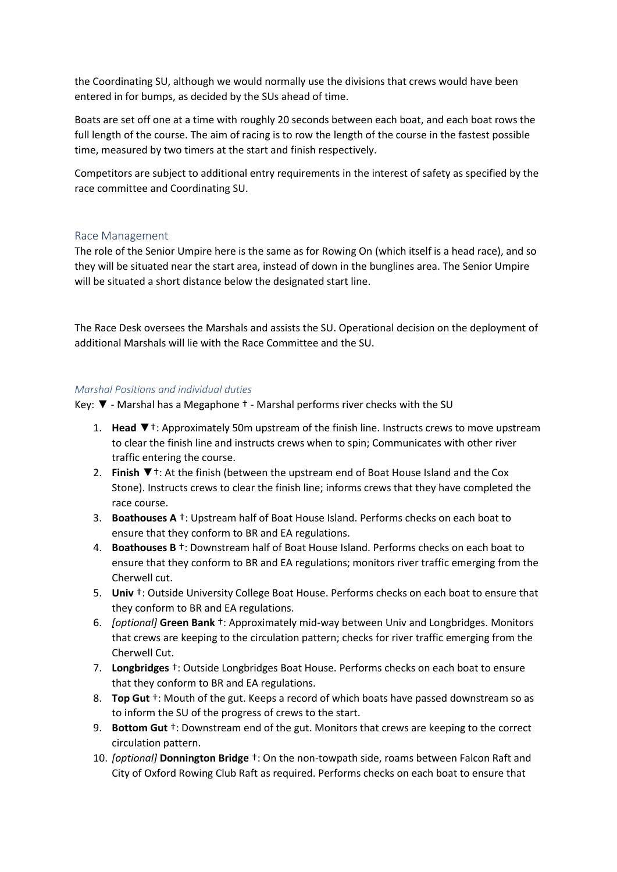the Coordinating SU, although we would normally use the divisions that crews would have been entered in for bumps, as decided by the SUs ahead of time.

Boats are set off one at a time with roughly 20 seconds between each boat, and each boat rows the full length of the course. The aim of racing is to row the length of the course in the fastest possible time, measured by two timers at the start and finish respectively.

Competitors are subject to additional entry requirements in the interest of safety as specified by the race committee and Coordinating SU.

## Race Management

The role of the Senior Umpire here is the same as for Rowing On (which itself is a head race), and so they will be situated near the start area, instead of down in the bunglines area. The Senior Umpire will be situated a short distance below the designated start line.

The Race Desk oversees the Marshals and assists the SU. Operational decision on the deployment of additional Marshals will lie with the Race Committee and the SU.

## *Marshal Positions and individual duties*

Key: ▼ - Marshal has a Megaphone † - Marshal performs river checks with the SU

- 1. **Head** ▼†: Approximately 50m upstream of the finish line. Instructs crews to move upstream to clear the finish line and instructs crews when to spin; Communicates with other river traffic entering the course.
- 2. **Finish** ▼†: At the finish (between the upstream end of Boat House Island and the Cox Stone). Instructs crews to clear the finish line; informs crews that they have completed the race course.
- 3. **Boathouses A** †: Upstream half of Boat House Island. Performs checks on each boat to ensure that they conform to BR and EA regulations.
- 4. **Boathouses B** †: Downstream half of Boat House Island. Performs checks on each boat to ensure that they conform to BR and EA regulations; monitors river traffic emerging from the Cherwell cut.
- 5. **Univ** †: Outside University College Boat House. Performs checks on each boat to ensure that they conform to BR and EA regulations.
- 6. *[optional]* **Green Bank** †: Approximately mid-way between Univ and Longbridges. Monitors that crews are keeping to the circulation pattern; checks for river traffic emerging from the Cherwell Cut.
- 7. **Longbridges** †: Outside Longbridges Boat House. Performs checks on each boat to ensure that they conform to BR and EA regulations.
- 8. **Top Gut** †: Mouth of the gut. Keeps a record of which boats have passed downstream so as to inform the SU of the progress of crews to the start.
- 9. **Bottom Gut** †: Downstream end of the gut. Monitors that crews are keeping to the correct circulation pattern.
- 10. *[optional]* **Donnington Bridge** †: On the non-towpath side, roams between Falcon Raft and City of Oxford Rowing Club Raft as required. Performs checks on each boat to ensure that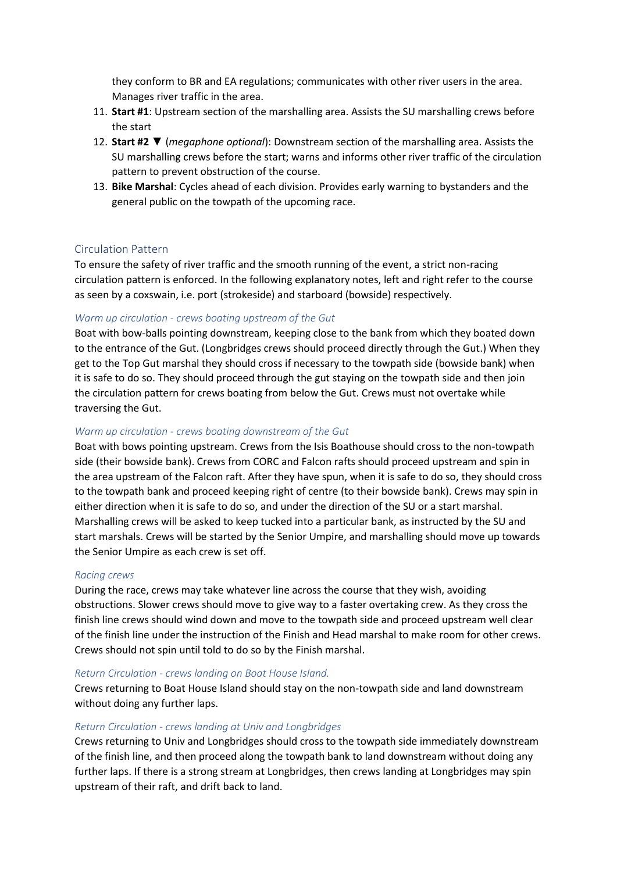they conform to BR and EA regulations; communicates with other river users in the area. Manages river traffic in the area.

- 11. **Start #1**: Upstream section of the marshalling area. Assists the SU marshalling crews before the start
- 12. **Start #2** ▼ (*megaphone optional*): Downstream section of the marshalling area. Assists the SU marshalling crews before the start; warns and informs other river traffic of the circulation pattern to prevent obstruction of the course.
- 13. **Bike Marshal**: Cycles ahead of each division. Provides early warning to bystanders and the general public on the towpath of the upcoming race.

## Circulation Pattern

To ensure the safety of river traffic and the smooth running of the event, a strict non-racing circulation pattern is enforced. In the following explanatory notes, left and right refer to the course as seen by a coxswain, i.e. port (strokeside) and starboard (bowside) respectively.

## *Warm up circulation - crews boating upstream of the Gut*

Boat with bow-balls pointing downstream, keeping close to the bank from which they boated down to the entrance of the Gut. (Longbridges crews should proceed directly through the Gut.) When they get to the Top Gut marshal they should cross if necessary to the towpath side (bowside bank) when it is safe to do so. They should proceed through the gut staying on the towpath side and then join the circulation pattern for crews boating from below the Gut. Crews must not overtake while traversing the Gut.

## *Warm up circulation - crews boating downstream of the Gut*

Boat with bows pointing upstream. Crews from the Isis Boathouse should cross to the non-towpath side (their bowside bank). Crews from CORC and Falcon rafts should proceed upstream and spin in the area upstream of the Falcon raft. After they have spun, when it is safe to do so, they should cross to the towpath bank and proceed keeping right of centre (to their bowside bank). Crews may spin in either direction when it is safe to do so, and under the direction of the SU or a start marshal. Marshalling crews will be asked to keep tucked into a particular bank, as instructed by the SU and start marshals. Crews will be started by the Senior Umpire, and marshalling should move up towards the Senior Umpire as each crew is set off.

## *Racing crews*

During the race, crews may take whatever line across the course that they wish, avoiding obstructions. Slower crews should move to give way to a faster overtaking crew. As they cross the finish line crews should wind down and move to the towpath side and proceed upstream well clear of the finish line under the instruction of the Finish and Head marshal to make room for other crews. Crews should not spin until told to do so by the Finish marshal.

#### *Return Circulation - crews landing on Boat House Island.*

Crews returning to Boat House Island should stay on the non-towpath side and land downstream without doing any further laps.

## *Return Circulation - crews landing at Univ and Longbridges*

Crews returning to Univ and Longbridges should cross to the towpath side immediately downstream of the finish line, and then proceed along the towpath bank to land downstream without doing any further laps. If there is a strong stream at Longbridges, then crews landing at Longbridges may spin upstream of their raft, and drift back to land.